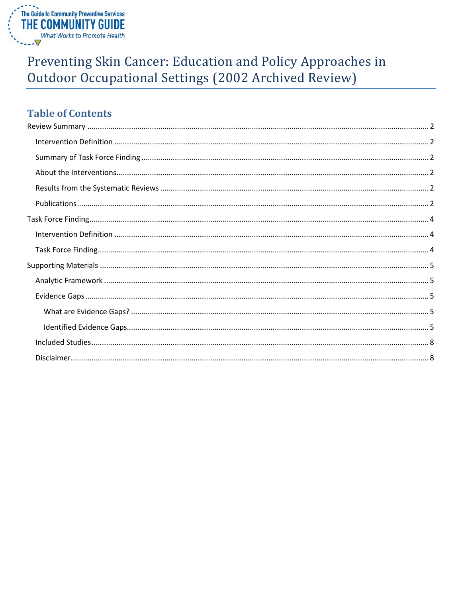

# Preventing Skin Cancer: Education and Policy Approaches in Outdoor Occupational Settings (2002 Archived Review)

# **Table of Contents**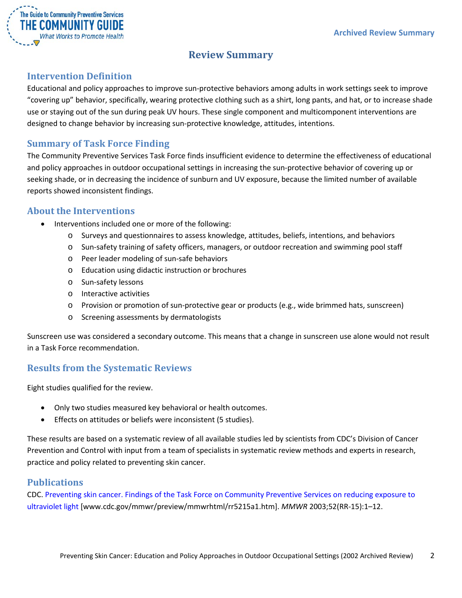

## **Review Summary**

### <span id="page-1-1"></span><span id="page-1-0"></span>**Intervention Definition**

Educational and policy approaches to improve sun-protective behaviors among adults in work settings seek to improve "covering up" behavior, specifically, wearing protective clothing such as a shirt, long pants, and hat, or to increase shade use or staying out of the sun during peak UV hours. These single component and multicomponent interventions are designed to change behavior by increasing sun-protective knowledge, attitudes, intentions.

### <span id="page-1-2"></span>**Summary of Task Force Finding**

The Community Preventive Services Task Force finds insufficient evidence to determine the effectiveness of educational and policy approaches in outdoor occupational settings in increasing the sun-protective behavior of covering up or seeking shade, or in decreasing the incidence of sunburn and UV exposure, because the limited number of available reports showed inconsistent findings.

### <span id="page-1-3"></span>**About the Interventions**

- Interventions included one or more of the following:
	- o Surveys and questionnaires to assess knowledge, attitudes, beliefs, intentions, and behaviors
	- o Sun-safety training of safety officers, managers, or outdoor recreation and swimming pool staff
	- o Peer leader modeling of sun-safe behaviors
	- o Education using didactic instruction or brochures
	- o Sun-safety lessons
	- o Interactive activities
	- o Provision or promotion of sun-protective gear or products (e.g., wide brimmed hats, sunscreen)
	- o Screening assessments by dermatologists

Sunscreen use was considered a secondary outcome. This means that a change in sunscreen use alone would not result in a Task Force recommendation.

### <span id="page-1-4"></span>**Results from the Systematic Reviews**

Eight studies qualified for the review.

- Only two studies measured key behavioral or health outcomes.
- Effects on attitudes or beliefs were inconsistent (5 studies).

These results are based on a systematic review of all available studies led by scientists from CDC's Division of Cancer Prevention and Control with input from a team of specialists in systematic review methods and experts in research, practice and policy related to preventing skin cancer.

### <span id="page-1-5"></span>**Publications**

CDC. [Preventing skin cancer. Findings of the Task Force on Community Preventive Services on reducing exposure to](http://www.cdc.gov/mmwr/preview/mmwrhtml/rr5215a1.htm)  [ultraviolet light](http://www.cdc.gov/mmwr/preview/mmwrhtml/rr5215a1.htm) [www.cdc.gov/mmwr/preview/mmwrhtml/rr5215a1.htm]. *MMWR* 2003;52(RR-15):1–12.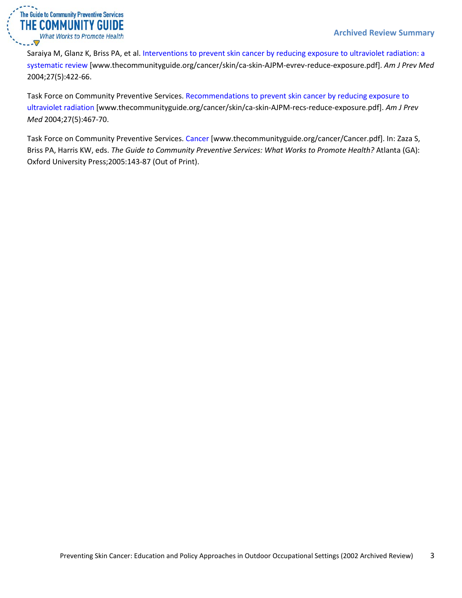

Saraiya M, Glanz K, Briss PA, et al. [Interventions to prevent skin cancer by reducing exposure to ultraviolet radiation: a](http://www.thecommunityguide.org/cancer/skin/ca-skin-AJPM-evrev-reduce-exposure.pdf)  [systematic review](http://www.thecommunityguide.org/cancer/skin/ca-skin-AJPM-evrev-reduce-exposure.pdf) [www.thecommunityguide.org/cancer/skin/ca-skin-AJPM-evrev-reduce-exposure.pdf]. *Am J Prev Med* 2004;27(5):422-66.

Task Force on Community Preventive Services. [Recommendations to prevent skin cancer by reducing exposure to](http://www.thecommunityguide.org/cancer/skin/ca-skin-AJPM-recs-reduce-exposure.pdf)  [ultraviolet radiation](http://www.thecommunityguide.org/cancer/skin/ca-skin-AJPM-recs-reduce-exposure.pdf) [www.thecommunityguide.org/cancer/skin/ca-skin-AJPM-recs-reduce-exposure.pdf]. *Am J Prev Med* 2004;27(5):467-70.

Task Force on Community Preventive Services. [Cancer](http://www.thecommunityguide.org/cancer/Cancer.pdf) [www.thecommunityguide.org/cancer/Cancer.pdf]. In: Zaza S, Briss PA, Harris KW, eds. *The Guide to Community Preventive Services: What Works to Promote Health?* Atlanta (GA): Oxford University Press;2005:143-87 (Out of Print).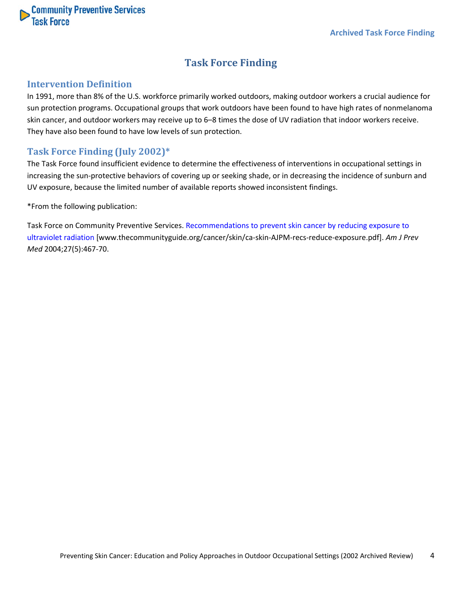<span id="page-3-0"></span>

### **Task Force Finding**

### <span id="page-3-1"></span>**Intervention Definition**

In 1991, more than 8% of the U.S. workforce primarily worked outdoors, making outdoor workers a crucial audience for sun protection programs. Occupational groups that work outdoors have been found to have high rates of nonmelanoma skin cancer, and outdoor workers may receive up to 6–8 times the dose of UV radiation that indoor workers receive. They have also been found to have low levels of sun protection.

### <span id="page-3-2"></span>**Task Force Finding (July 2002)\***

The Task Force found insufficient evidence to determine the effectiveness of interventions in occupational settings in increasing the sun-protective behaviors of covering up or seeking shade, or in decreasing the incidence of sunburn and UV exposure, because the limited number of available reports showed inconsistent findings.

\*From the following publication:

Task Force on Community Preventive Services. [Recommendations to prevent skin cancer by reducing exposure to](http://www.thecommunityguide.org/cancer/skin/ca-skin-AJPM-recs-reduce-exposure.pdf)  [ultraviolet radiation](http://www.thecommunityguide.org/cancer/skin/ca-skin-AJPM-recs-reduce-exposure.pdf) [www.thecommunityguide.org/cancer/skin/ca-skin-AJPM-recs-reduce-exposure.pdf]. *Am J Prev Med* 2004;27(5):467-70.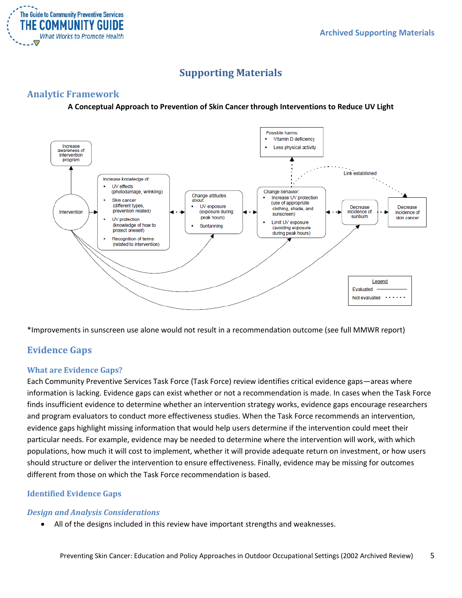

# **Supporting Materials**

### <span id="page-4-1"></span><span id="page-4-0"></span>**Analytic Framework**

### **A Conceptual Approach to Prevention of Skin Cancer through Interventions to Reduce UV Light**



\*Improvements in sunscreen use alone would not result in a recommendation outcome (see full MMWR report)

### <span id="page-4-2"></span>**Evidence Gaps**

### <span id="page-4-3"></span>**What are Evidence Gaps?**

Each Community Preventive Services Task Force (Task Force) review identifies critical evidence gaps—areas where information is lacking. Evidence gaps can exist whether or not a recommendation is made. In cases when the Task Force finds insufficient evidence to determine whether an intervention strategy works, evidence gaps encourage researchers and program evaluators to conduct more effectiveness studies. When the Task Force recommends an intervention, evidence gaps highlight missing information that would help users determine if the intervention could meet their particular needs. For example, evidence may be needed to determine where the intervention will work, with which populations, how much it will cost to implement, whether it will provide adequate return on investment, or how users should structure or deliver the intervention to ensure effectiveness. Finally, evidence may be missing for outcomes different from those on which the Task Force recommendation is based.

### <span id="page-4-4"></span>**Identified Evidence Gaps**

### *Design and Analysis Considerations*

• All of the designs included in this review have important strengths and weaknesses.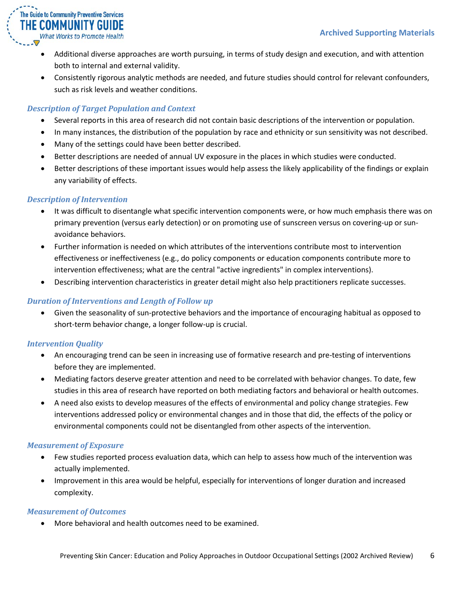

- Additional diverse approaches are worth pursuing, in terms of study design and execution, and with attention both to internal and external validity.
- Consistently rigorous analytic methods are needed, and future studies should control for relevant confounders, such as risk levels and weather conditions.

### *Description of Target Population and Context*

- Several reports in this area of research did not contain basic descriptions of the intervention or population.
- In many instances, the distribution of the population by race and ethnicity or sun sensitivity was not described.
- Many of the settings could have been better described.
- Better descriptions are needed of annual UV exposure in the places in which studies were conducted.
- Better descriptions of these important issues would help assess the likely applicability of the findings or explain any variability of effects.

### *Description of Intervention*

- It was difficult to disentangle what specific intervention components were, or how much emphasis there was on primary prevention (versus early detection) or on promoting use of sunscreen versus on covering-up or sunavoidance behaviors.
- Further information is needed on which attributes of the interventions contribute most to intervention effectiveness or ineffectiveness (e.g., do policy components or education components contribute more to intervention effectiveness; what are the central "active ingredients" in complex interventions).
- Describing intervention characteristics in greater detail might also help practitioners replicate successes.

### *Duration of Interventions and Length of Follow up*

• Given the seasonality of sun-protective behaviors and the importance of encouraging habitual as opposed to short-term behavior change, a longer follow-up is crucial.

### *Intervention Quality*

- An encouraging trend can be seen in increasing use of formative research and pre-testing of interventions before they are implemented.
- Mediating factors deserve greater attention and need to be correlated with behavior changes. To date, few studies in this area of research have reported on both mediating factors and behavioral or health outcomes.
- A need also exists to develop measures of the effects of environmental and policy change strategies. Few interventions addressed policy or environmental changes and in those that did, the effects of the policy or environmental components could not be disentangled from other aspects of the intervention.

### *Measurement of Exposure*

- Few studies reported process evaluation data, which can help to assess how much of the intervention was actually implemented.
- Improvement in this area would be helpful, especially for interventions of longer duration and increased complexity.

### *Measurement of Outcomes*

• More behavioral and health outcomes need to be examined.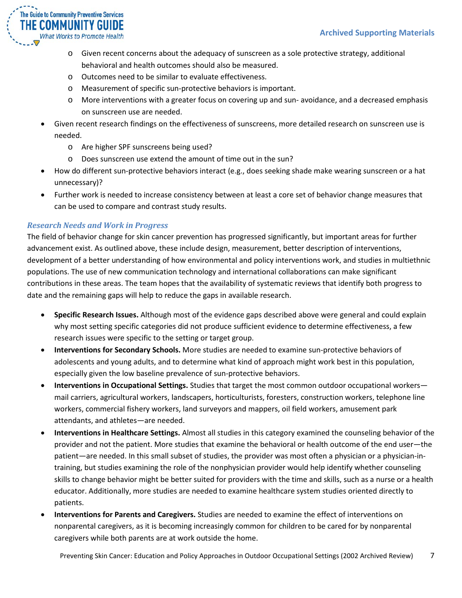

- o Given recent concerns about the adequacy of sunscreen as a sole protective strategy, additional behavioral and health outcomes should also be measured.
- o Outcomes need to be similar to evaluate effectiveness.
- o Measurement of specific sun-protective behaviors is important.
- o More interventions with a greater focus on covering up and sun- avoidance, and a decreased emphasis on sunscreen use are needed.
- Given recent research findings on the effectiveness of sunscreens, more detailed research on sunscreen use is needed.
	- o Are higher SPF sunscreens being used?
	- o Does sunscreen use extend the amount of time out in the sun?
- How do different sun-protective behaviors interact (e.g., does seeking shade make wearing sunscreen or a hat unnecessary)?
- Further work is needed to increase consistency between at least a core set of behavior change measures that can be used to compare and contrast study results.

### *Research Needs and Work in Progress*

The field of behavior change for skin cancer prevention has progressed significantly, but important areas for further advancement exist. As outlined above, these include design, measurement, better description of interventions, development of a better understanding of how environmental and policy interventions work, and studies in multiethnic populations. The use of new communication technology and international collaborations can make significant contributions in these areas. The team hopes that the availability of systematic reviews that identify both progress to date and the remaining gaps will help to reduce the gaps in available research.

- **Specific Research Issues.** Although most of the evidence gaps described above were general and could explain why most setting specific categories did not produce sufficient evidence to determine effectiveness, a few research issues were specific to the setting or target group.
- **Interventions for Secondary Schools.** More studies are needed to examine sun-protective behaviors of adolescents and young adults, and to determine what kind of approach might work best in this population, especially given the low baseline prevalence of sun-protective behaviors.
- **Interventions in Occupational Settings.** Studies that target the most common outdoor occupational workers mail carriers, agricultural workers, landscapers, horticulturists, foresters, construction workers, telephone line workers, commercial fishery workers, land surveyors and mappers, oil field workers, amusement park attendants, and athletes—are needed.
- **Interventions in Healthcare Settings.** Almost all studies in this category examined the counseling behavior of the provider and not the patient. More studies that examine the behavioral or health outcome of the end user—the patient—are needed. In this small subset of studies, the provider was most often a physician or a physician-intraining, but studies examining the role of the nonphysician provider would help identify whether counseling skills to change behavior might be better suited for providers with the time and skills, such as a nurse or a health educator. Additionally, more studies are needed to examine healthcare system studies oriented directly to patients.
- **Interventions for Parents and Caregivers.** Studies are needed to examine the effect of interventions on nonparental caregivers, as it is becoming increasingly common for children to be cared for by nonparental caregivers while both parents are at work outside the home.

Preventing Skin Cancer: Education and Policy Approaches in Outdoor Occupational Settings (2002 Archived Review) 7